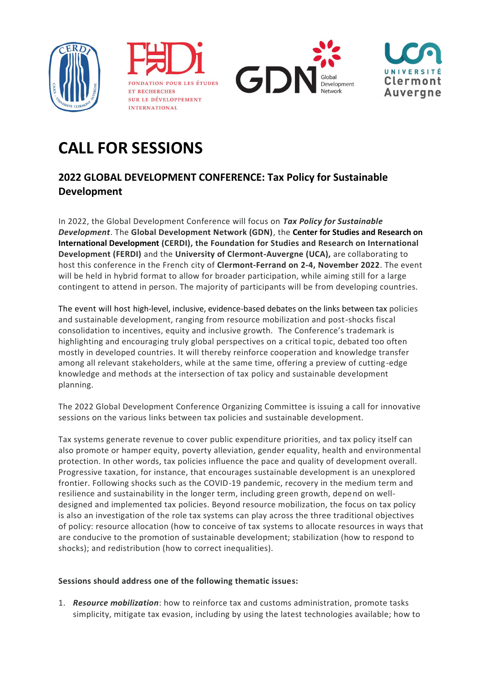







## **CALL FOR SESSIONS**

## **2022 GLOBAL DEVELOPMENT CONFERENCE: Tax Policy for Sustainable Development**

In 2022, the Global Development Conference will focus on *Tax Policy for Sustainable Development*. The **Global Development Network (GDN)**, the **Center for Studies and Research on International Development (CERDI), the Foundation for Studies and Research on International Development (FERDI)** and the **University of Clermont-Auvergne (UCA),** are collaborating to host this conference in the French city of **Clermont-Ferrand on 2-4, November 2022**. The event will be held in hybrid format to allow for broader participation, while aiming still for a large contingent to attend in person. The majority of participants will be from developing countries.

The event will host high-level, inclusive, evidence-based debates on the links between tax policies and sustainable development, ranging from resource mobilization and post-shocks fiscal consolidation to incentives, equity and inclusive growth. The Conference's trademark is highlighting and encouraging truly global perspectives on a critical topic, debated too often mostly in developed countries. It will thereby reinforce cooperation and knowledge transfer among all relevant stakeholders, while at the same time, offering a preview of cutting-edge knowledge and methods at the intersection of tax policy and sustainable development planning.

The 2022 Global Development Conference Organizing Committee is issuing a call for innovative sessions on the various links between tax policies and sustainable development.

Tax systems generate revenue to cover public expenditure priorities, and tax policy itself can also promote or hamper equity, poverty alleviation, gender equality, health and environmental protection. In other words, tax policies influence the pace and quality of development overall. Progressive taxation, for instance, that encourages sustainable development is an unexplored frontier. Following shocks such as the COVID-19 pandemic, recovery in the medium term and resilience and sustainability in the longer term, including green growth, depend on welldesigned and implemented tax policies. Beyond resource mobilization, the focus on tax policy is also an investigation of the role tax systems can play across the three traditional objectives of policy: resource allocation (how to conceive of tax systems to allocate resources in ways that are conducive to the promotion of sustainable development; stabilization (how to respond to shocks); and redistribution (how to correct inequalities).

## **Sessions should address one of the following thematic issues:**

1. *Resource mobilization*: how to reinforce tax and customs administration, promote tasks simplicity, mitigate tax evasion, including by using the latest technologies available; how to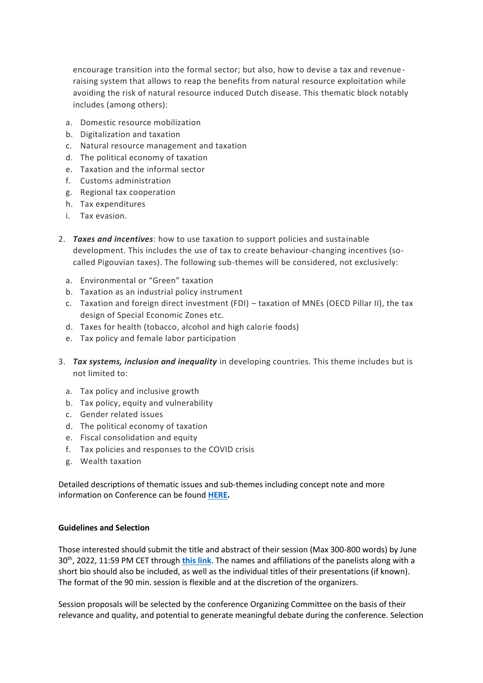encourage transition into the formal sector; but also, how to devise a tax and revenueraising system that allows to reap the benefits from natural resource exploitation while avoiding the risk of natural resource induced Dutch disease. This thematic block notably includes (among others):

- a. Domestic resource mobilization
- b. Digitalization and taxation
- c. Natural resource management and taxation
- d. The political economy of taxation
- e. Taxation and the informal sector
- f. Customs administration
- g. Regional tax cooperation
- h. Tax expenditures
- i. Tax evasion.
- 2. *Taxes and incentives*: how to use taxation to support policies and sustainable development. This includes the use of tax to create behaviour-changing incentives (socalled Pigouvian taxes). The following sub-themes will be considered, not exclusively:
	- a. Environmental or "Green" taxation
	- b. Taxation as an industrial policy instrument
	- c. Taxation and foreign direct investment (FDI) taxation of MNEs (OECD Pillar II), the tax design of Special Economic Zones etc.
	- d. Taxes for health (tobacco, alcohol and high calorie foods)
	- e. Tax policy and female labor participation
- 3. *Tax systems, inclusion and inequality* in developing countries. This theme includes but is not limited to:
	- a. Tax policy and inclusive growth
	- b. Tax policy, equity and vulnerability
	- c. Gender related issues
	- d. The political economy of taxation
	- e. Fiscal consolidation and equity
	- f. Tax policies and responses to the COVID crisis
	- g. Wealth taxation

Detailed descriptions of thematic issues and sub-themes including concept note and more information on Conference can be found **[HERE.](http://www.gdn.int/taxpolicyconference)** 

## **Guidelines and Selection**

Those interested should submit the title and abstract of their session (Max 300-800 words) by June 30th, 2022, 11:59 PM CET through **[this link](https://gdc2022.awardsplatform.com/)**. The names and affiliations of the panelists along with a short bio should also be included, as well as the individual titles of their presentations (if known). The format of the 90 min. session is flexible and at the discretion of the organizers.

Session proposals will be selected by the conference Organizing Committee on the basis of their relevance and quality, and potential to generate meaningful debate during the conference. Selection